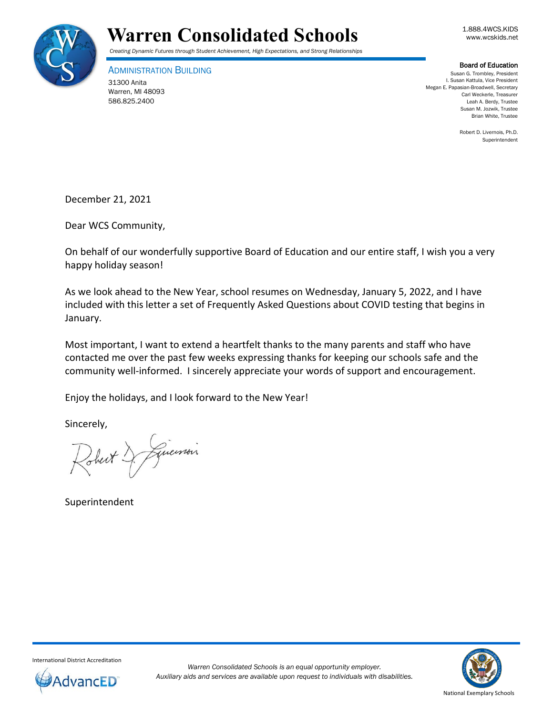



ADMINISTRATION BUILDING 31300 Anita Warren, MI 48093 586.825.2400

**Board of Education**<br>Susan G. Trombley, President I. Susan Kattula, Vice President Megan E. Papasian-Broadwell, Secretary Carl Weckerle, Treasurer Leah A. Berdy, Trustee Susan M. Jozwik, Trustee Brian White, Trustee

> Robert D. Livernois, Ph.D. Superintendent

December 21, 2021

Dear WCS Community,

On behalf of our wonderfully supportive Board of Education and our entire staff, I wish you a very happy holiday season!

As we look ahead to the New Year, school resumes on Wednesday, January 5, 2022, and I have included with this letter a set of Frequently Asked Questions about COVID testing that begins in January.

Most important, I want to extend a heartfelt thanks to the many parents and staff who have contacted me over the past few weeks expressing thanks for keeping our schools safe and the community well-informed. I sincerely appreciate your words of support and encouragement.

Enjoy the holidays, and I look forward to the New Year!

Sincerely,

Johnt & Liversin

Superintendent



International District Accreditation

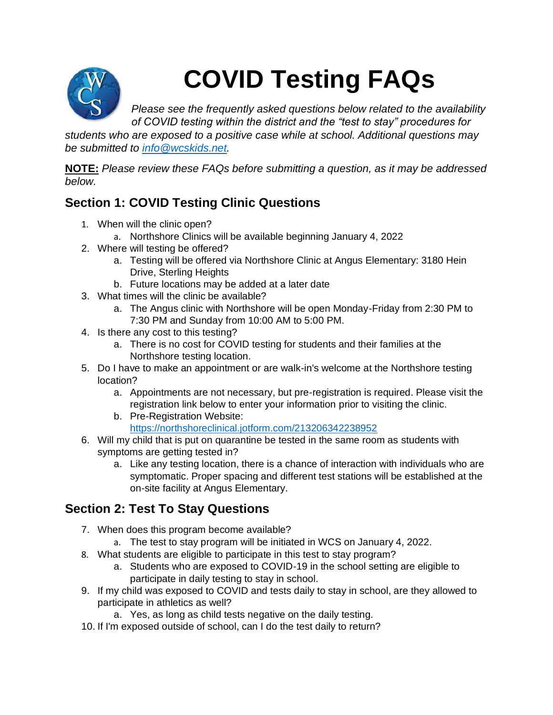

# **COVID Testing FAQs**

*Please see the frequently asked questions below related to the availability of COVID testing within the district and the "test to stay" procedures for* 

*students who are exposed to a positive case while at school. Additional questions may be submitted to [info@wcskids.net.](mailto:info@wcskids.net)*

**NOTE:** *Please review these FAQs before submitting a question, as it may be addressed below.*

### **Section 1: COVID Testing Clinic Questions**

- 1. When will the clinic open?
	- a. Northshore Clinics will be available beginning January 4, 2022
- 2. Where will testing be offered?
	- a. Testing will be offered via Northshore Clinic at Angus Elementary: 3180 Hein Drive, Sterling Heights
	- b. Future locations may be added at a later date
- 3. What times will the clinic be available?
	- a. The Angus clinic with Northshore will be open Monday-Friday from 2:30 PM to 7:30 PM and Sunday from 10:00 AM to 5:00 PM.
- 4. Is there any cost to this testing?
	- a. There is no cost for COVID testing for students and their families at the Northshore testing location.
- 5. Do I have to make an appointment or are walk-in's welcome at the Northshore testing location?
	- a. Appointments are not necessary, but pre-registration is required. Please visit the registration link below to enter your information prior to visiting the clinic.
	- b. Pre-Registration Website: <https://northshoreclinical.jotform.com/213206342238952>
- 6. Will my child that is put on quarantine be tested in the same room as students with symptoms are getting tested in?
	- a. Like any testing location, there is a chance of interaction with individuals who are symptomatic. Proper spacing and different test stations will be established at the on-site facility at Angus Elementary.

#### **Section 2: Test To Stay Questions**

- 7. When does this program become available?
	- a. The test to stay program will be initiated in WCS on January 4, 2022.
- 8. What students are eligible to participate in this test to stay program?
	- a. Students who are exposed to COVID-19 in the school setting are eligible to participate in daily testing to stay in school.
- 9. If my child was exposed to COVID and tests daily to stay in school, are they allowed to participate in athletics as well?
	- a. Yes, as long as child tests negative on the daily testing.
- 10. If I'm exposed outside of school, can I do the test daily to return?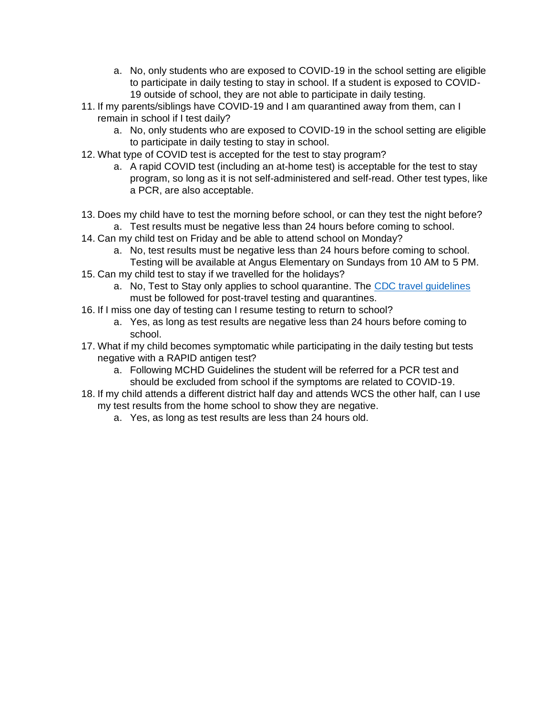- a. No, only students who are exposed to COVID-19 in the school setting are eligible to participate in daily testing to stay in school. If a student is exposed to COVID-19 outside of school, they are not able to participate in daily testing.
- 11. If my parents/siblings have COVID-19 and I am quarantined away from them, can I remain in school if I test daily?
	- a. No, only students who are exposed to COVID-19 in the school setting are eligible to participate in daily testing to stay in school.
- 12. What type of COVID test is accepted for the test to stay program?
	- a. A rapid COVID test (including an at-home test) is acceptable for the test to stay program, so long as it is not self-administered and self-read. Other test types, like a PCR, are also acceptable.
- 13. Does my child have to test the morning before school, or can they test the night before? a. Test results must be negative less than 24 hours before coming to school.
- 14. Can my child test on Friday and be able to attend school on Monday?
	- a. No, test results must be negative less than 24 hours before coming to school. Testing will be available at Angus Elementary on Sundays from 10 AM to 5 PM.
- 15. Can my child test to stay if we travelled for the holidays?
	- a. No, Test to Stay only applies to school quarantine. The [CDC travel guidelines](https://www.cdc.gov/coronavirus/2019-ncov/travelers/international-travel/index.html) must be followed for post-travel testing and quarantines.
- 16. If I miss one day of testing can I resume testing to return to school?
	- a. Yes, as long as test results are negative less than 24 hours before coming to school.
- 17. What if my child becomes symptomatic while participating in the daily testing but tests negative with a RAPID antigen test?
	- a. Following MCHD Guidelines the student will be referred for a PCR test and should be excluded from school if the symptoms are related to COVID-19.
- 18. If my child attends a different district half day and attends WCS the other half, can I use my test results from the home school to show they are negative.
	- a. Yes, as long as test results are less than 24 hours old.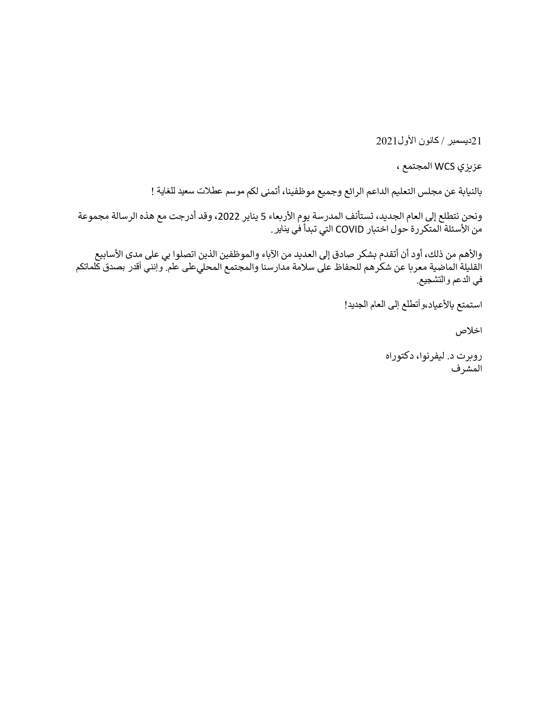21ديسمبر / كانون الأول2021

عزيزي WCS المجتمع ،

بالنيابة عن مجلس التعليم الداعم الرائع وجميع موظفينا، أتمنى لكم موسم عطالت سعيد للغاية !

ونحن نتطلع إلى العام الجديد، تستأنف المدرسة يوم الأربعاء 5 يناير 2022، وقد أدرجت مع هذه الرسالة مجموعة من الأسئلة المتكررة حول اختبار COVID التي تبدأ في يناير .

والأهم من ذلك، أود أن أتقدم بشكر صادق إلى العديد من الآباء والموظفين الذين اتصلوا بي على مدى الأسابيع القليلة الماضية معربا عن شكرهم للحفاظ على سالمة مدارسنا والمجتمع المحليعلى علم. وإنني أقدر بصدق كلماتكم في الدعم والتشجيع.

```
استمتع بالأعياد،وأتطلع إلى العام الجديد!
```
اخالص

روبرت د. ليفرنوا، دكتوراه المشرف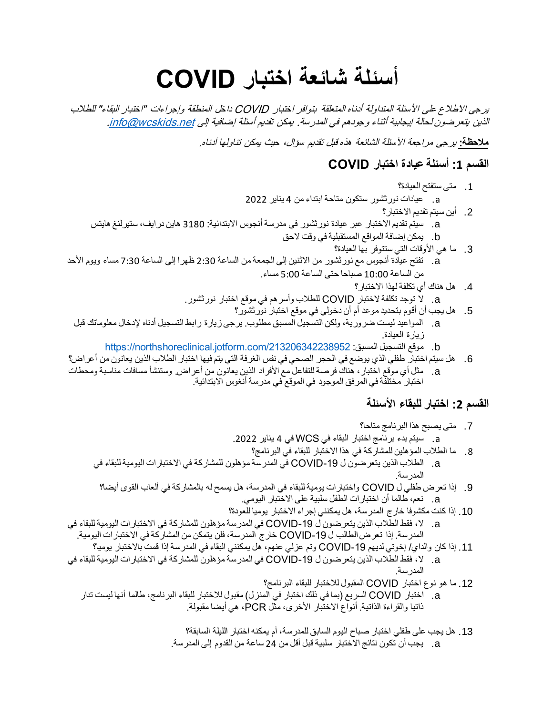## **أسئلة شائعة اختبار COVID**

يرجى االطالع على األسئلة المتداولة أدناه المتعلقة بتوافر اختبار COVID داخل المنطقة وإجراءات "اختبار البقاء" للطالب الذين يتعر ضون لحالة إيجابية أثناء وجودهم في المدرسة. يمكن تقديم أسئلة إضافية إلى info@wcskids.net.

**مالحظة:** يرجى مراجعة األسئلة الشائعة هذه قبل تقديم سؤال، حيث يمكن تناولها أدناه.

#### **القسم :1 أسئلة عيادة اختبار COVID**

- .1 متى ستفتح العيادة؟
- a. عيادات نورثشور ستكون متاحة ابتداء من 4 يناير 2022
	- .2 أين سيتم تقديم االختبار؟
- a. سيتم تقديم االختبار عبر عيادة نورثشور في مدرسة أنجوس االبتدائية: 3180 هاين درايف، ستيرلنغ هايتس
	- b. يمكن إضافة المواقع المستقبلية في وقت الحق
		- 3. ما هي الأوقات التي ستتوفر بها العيادة؟
- a. تفتح عيادة أنجوس مع نورثشور من االثنين إلى الجمعة من الساعة 2:30 ظهرا إلى الساعة 7:30 مساء ويوم األحد من الساعة 10:00 صباحا حتى الساعة 5:00 مساء.
	- .4 هل هناك أي تكلفة لهذا االختبار؟
	- a. ال توجد تكلفة الختبار COVID للطالب وأسرهم في موقع اختبار نورثشور.
		- .5 هل يجب أن أقوم بتحديد موعد أم أن دخولي في موقع اختبار نورثشور؟
	- a. المواعيد ليست ضرورية، ولكن التسجيل المسبق مطلوب. يرجى زيارة رابط التسجيل أدناه إلدخال معلوماتك قبل زيارة العيادة.
		- https://northshoreclinical.jotform.com/213206342238952 :المسبق التسجيل موقع .b
- .6 هل سيتم اختبار طفلي الذي يوضع في الحجر الصحي في نفس الغرفة التي يتم فيها اختبار الطالب الذين يعانون من أعراض؟ a. مثل أي موقع اختبار، هناك فرصة للتفاعل مع األفراد الذين يعانون من أعراض. وستنشأ مسافات مناسبة ومحطات اختبار مختلفة في المرفق الموجود في الموقع في مدرسة أنغوس االبتدائية.

#### **القسم :2 اختبار للبقاء األسئلة**

- .7 متى يصبح هذا البرنامج متاحا؟
- a. سيتم بدء برنامج اختبار البقاء في WCS في 4 يناير .2022
- .8 ما الطالب المؤهلين للمشاركة في هذا االختبار للبقاء في البرنامج؟
- a. الطالب الذين يتعرضون ل -19COVID في المدرسة مؤهلون للمشاركة في االختبارات اليومية للبقاء في المدرسة.
- .9 إذا تعرض طفلي ل COVID واختبارات يومية للبقاء في المدرسة، هل يسمح له بالمشاركة في ألعاب القو ى أيضا؟ a. نعم، طالما أن اختبارات الطفل سلبية على االختبار اليومي.
	- .10 إذا كنت مكشوفا خارج المدرسة، هل يمكنني إجراء االختبار يوميا للعودة؟
- a. ال، فقط الطالب الذين يتعرضون ل -19COVID في المدرسة مؤهلون للمشاركة في االختبارات اليومية للبقاء في المدرسة. إذا تعر ض الطالب ل COVID-19 خارج المدرسة، فلن يتمكن من المشاركة في الاختبار ات اليومية.
- .11 إذا كان والداي/ إخوتي لديهم -19COVID وتم عزلي عنهم، هل يمكنني البقاء في المدرسة إذا قمت باالختبار يوميا؟ a. ال، فقط الطالب الذين يتعرضون ل -19COVID في المدرسة مؤهلون للمشاركة في االختبارات اليومية للبقاء في
	- المدرسة.
	- .12 ما هو نوع اختبار COVID المقبول لالختبار للبقاء البرنامج؟
	- a. اختبار COVID السريع (بما في ذلك اختبار في المنزل) مقبول للاختبار للبقاء البرنامج، طالما أنها ليست تدار ذاتيا والقراءة الذاتية. أنواع االختبار األخرى، مثل PCR، هي أيضا مقبولة.
		- .13 هل يجب على طفلي اختبار صباح اليوم السابق للمدرسة، أم يمكنه اختبار الليلة السابقة؟ a. يجب أن تكون نتائج االختبار سلبية قبل أقل من 24 ساعة من القدوم إلى المدرسة.